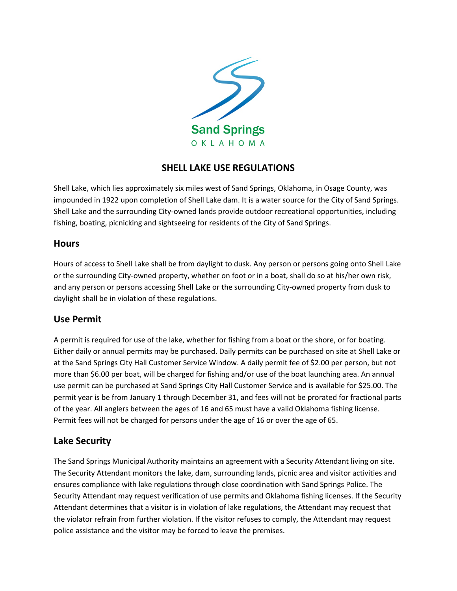

# **SHELL LAKE USE REGULATIONS**

Shell Lake, which lies approximately six miles west of Sand Springs, Oklahoma, in Osage County, was impounded in 1922 upon completion of Shell Lake dam. It is a water source for the City of Sand Springs. Shell Lake and the surrounding City-owned lands provide outdoor recreational opportunities, including fishing, boating, picnicking and sightseeing for residents of the City of Sand Springs.

#### **Hours**

Hours of access to Shell Lake shall be from daylight to dusk. Any person or persons going onto Shell Lake or the surrounding City-owned property, whether on foot or in a boat, shall do so at his/her own risk, and any person or persons accessing Shell Lake or the surrounding City-owned property from dusk to daylight shall be in violation of these regulations.

## **Use Permit**

A permit is required for use of the lake, whether for fishing from a boat or the shore, or for boating. Either daily or annual permits may be purchased. Daily permits can be purchased on site at Shell Lake or at the Sand Springs City Hall Customer Service Window. A daily permit fee of \$2.00 per person, but not more than \$6.00 per boat, will be charged for fishing and/or use of the boat launching area. An annual use permit can be purchased at Sand Springs City Hall Customer Service and is available for \$25.00. The permit year is be from January 1 through December 31, and fees will not be prorated for fractional parts of the year. All anglers between the ages of 16 and 65 must have a valid Oklahoma fishing license. Permit fees will not be charged for persons under the age of 16 or over the age of 65.

## **Lake Security**

The Sand Springs Municipal Authority maintains an agreement with a Security Attendant living on site. The Security Attendant monitors the lake, dam, surrounding lands, picnic area and visitor activities and ensures compliance with lake regulations through close coordination with Sand Springs Police. The Security Attendant may request verification of use permits and Oklahoma fishing licenses. If the Security Attendant determines that a visitor is in violation of lake regulations, the Attendant may request that the violator refrain from further violation. If the visitor refuses to comply, the Attendant may request police assistance and the visitor may be forced to leave the premises.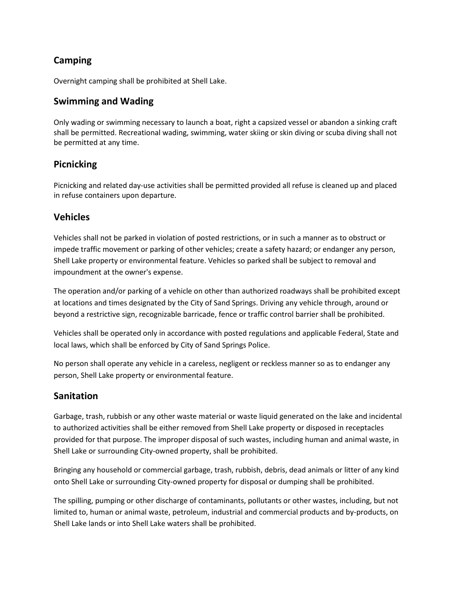# **Camping**

Overnight camping shall be prohibited at Shell Lake.

## **Swimming and Wading**

Only wading or swimming necessary to launch a boat, right a capsized vessel or abandon a sinking craft shall be permitted. Recreational wading, swimming, water skiing or skin diving or scuba diving shall not be permitted at any time.

## **Picnicking**

Picnicking and related day-use activities shall be permitted provided all refuse is cleaned up and placed in refuse containers upon departure.

#### **Vehicles**

Vehicles shall not be parked in violation of posted restrictions, or in such a manner as to obstruct or impede traffic movement or parking of other vehicles; create a safety hazard; or endanger any person, Shell Lake property or environmental feature. Vehicles so parked shall be subject to removal and impoundment at the owner's expense.

The operation and/or parking of a vehicle on other than authorized roadways shall be prohibited except at locations and times designated by the City of Sand Springs. Driving any vehicle through, around or beyond a restrictive sign, recognizable barricade, fence or traffic control barrier shall be prohibited.

Vehicles shall be operated only in accordance with posted regulations and applicable Federal, State and local laws, which shall be enforced by City of Sand Springs Police.

No person shall operate any vehicle in a careless, negligent or reckless manner so as to endanger any person, Shell Lake property or environmental feature.

#### **Sanitation**

Garbage, trash, rubbish or any other waste material or waste liquid generated on the lake and incidental to authorized activities shall be either removed from Shell Lake property or disposed in receptacles provided for that purpose. The improper disposal of such wastes, including human and animal waste, in Shell Lake or surrounding City-owned property, shall be prohibited.

Bringing any household or commercial garbage, trash, rubbish, debris, dead animals or litter of any kind onto Shell Lake or surrounding City-owned property for disposal or dumping shall be prohibited.

The spilling, pumping or other discharge of contaminants, pollutants or other wastes, including, but not limited to, human or animal waste, petroleum, industrial and commercial products and by-products, on Shell Lake lands or into Shell Lake waters shall be prohibited.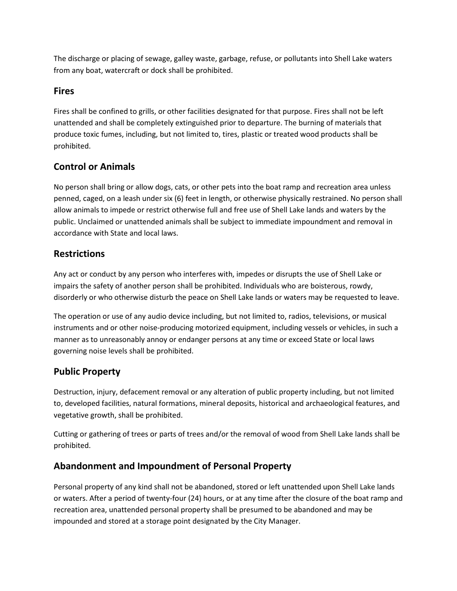The discharge or placing of sewage, galley waste, garbage, refuse, or pollutants into Shell Lake waters from any boat, watercraft or dock shall be prohibited.

## **Fires**

Fires shall be confined to grills, or other facilities designated for that purpose. Fires shall not be left unattended and shall be completely extinguished prior to departure. The burning of materials that produce toxic fumes, including, but not limited to, tires, plastic or treated wood products shall be prohibited.

# **Control or Animals**

No person shall bring or allow dogs, cats, or other pets into the boat ramp and recreation area unless penned, caged, on a leash under six (6) feet in length, or otherwise physically restrained. No person shall allow animals to impede or restrict otherwise full and free use of Shell Lake lands and waters by the public. Unclaimed or unattended animals shall be subject to immediate impoundment and removal in accordance with State and local laws.

# **Restrictions**

Any act or conduct by any person who interferes with, impedes or disrupts the use of Shell Lake or impairs the safety of another person shall be prohibited. Individuals who are boisterous, rowdy, disorderly or who otherwise disturb the peace on Shell Lake lands or waters may be requested to leave.

The operation or use of any audio device including, but not limited to, radios, televisions, or musical instruments and or other noise-producing motorized equipment, including vessels or vehicles, in such a manner as to unreasonably annoy or endanger persons at any time or exceed State or local laws governing noise levels shall be prohibited.

# **Public Property**

Destruction, injury, defacement removal or any alteration of public property including, but not limited to, developed facilities, natural formations, mineral deposits, historical and archaeological features, and vegetative growth, shall be prohibited.

Cutting or gathering of trees or parts of trees and/or the removal of wood from Shell Lake lands shall be prohibited.

# **Abandonment and Impoundment of Personal Property**

Personal property of any kind shall not be abandoned, stored or left unattended upon Shell Lake lands or waters. After a period of twenty-four (24) hours, or at any time after the closure of the boat ramp and recreation area, unattended personal property shall be presumed to be abandoned and may be impounded and stored at a storage point designated by the City Manager.